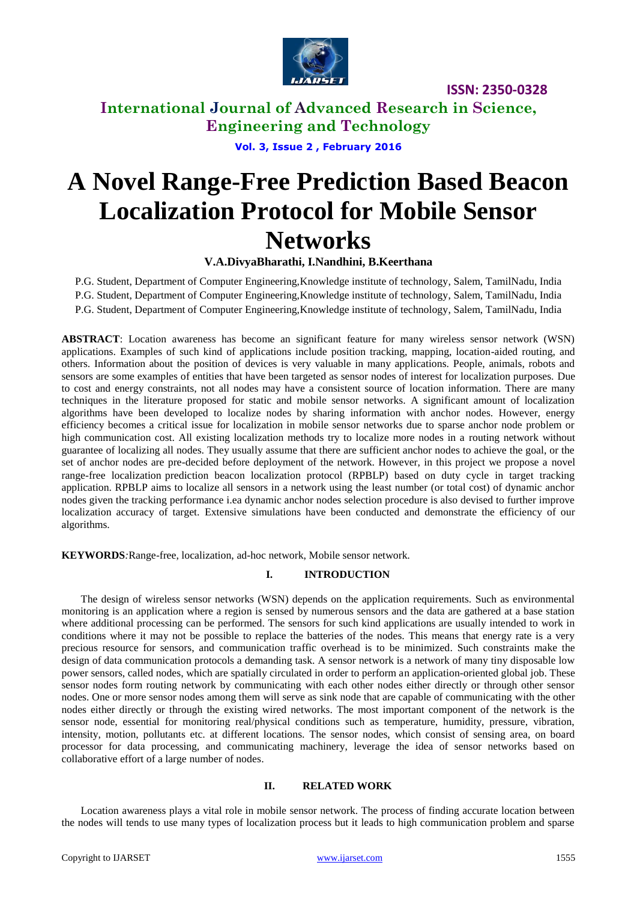

**International Journal of Advanced Research in Science, Engineering and Technology**

**Vol. 3, Issue 2 , February 2016**

# **A Novel Range-Free Prediction Based Beacon Localization Protocol for Mobile Sensor Networks**

**V.A.DivyaBharathi, I.Nandhini, B.Keerthana**

P.G. Student, Department of Computer Engineering,Knowledge institute of technology, Salem, TamilNadu, India P.G. Student, Department of Computer Engineering,Knowledge institute of technology, Salem, TamilNadu, India P.G. Student, Department of Computer Engineering,Knowledge institute of technology, Salem, TamilNadu, India

**ABSTRACT**: Location awareness has become an significant feature for many wireless sensor network (WSN) applications. Examples of such kind of applications include position tracking, mapping, location-aided routing, and others. Information about the position of devices is very valuable in many applications. People, animals, robots and sensors are some examples of entities that have been targeted as sensor nodes of interest for localization purposes. Due to cost and energy constraints, not all nodes may have a consistent source of location information. There are many techniques in the literature proposed for static and mobile sensor networks. A significant amount of localization algorithms have been developed to localize nodes by sharing information with anchor nodes. However, energy efficiency becomes a critical issue for localization in mobile sensor networks due to sparse anchor node problem or high communication cost. All existing localization methods try to localize more nodes in a routing network without guarantee of localizing all nodes. They usually assume that there are sufficient anchor nodes to achieve the goal, or the set of anchor nodes are pre-decided before deployment of the network. However, in this project we propose a novel range-free localization prediction beacon localization protocol (RPBLP) based on duty cycle in target tracking application. RPBLP aims to localize all sensors in a network using the least number (or total cost) of dynamic anchor nodes given the tracking performance i.ea dynamic anchor nodes selection procedure is also devised to further improve localization accuracy of target. Extensive simulations have been conducted and demonstrate the efficiency of our algorithms.

**KEYWORDS***:*Range-free, localization, ad-hoc network, Mobile sensor network*.*

### **I. INTRODUCTION**

The design of wireless sensor networks (WSN) depends on the application requirements. Such as environmental monitoring is an application where a region is sensed by numerous sensors and the data are gathered at a base station where additional processing can be performed. The sensors for such kind applications are usually intended to work in conditions where it may not be possible to replace the batteries of the nodes. This means that energy rate is a very precious resource for sensors, and communication traffic overhead is to be minimized. Such constraints make the design of data communication protocols a demanding task. A sensor network is a network of many tiny disposable low power sensors, called nodes, which are spatially circulated in order to perform an application-oriented global job. These sensor nodes form routing network by communicating with each other nodes either directly or through other sensor nodes. One or more sensor nodes among them will serve as sink node that are capable of communicating with the other nodes either directly or through the existing wired networks. The most important component of the network is the sensor node, essential for monitoring real/physical conditions such as temperature, humidity, pressure, vibration, intensity, motion, pollutants etc. at different locations. The sensor nodes, which consist of sensing area, on board processor for data processing, and communicating machinery, leverage the idea of sensor networks based on collaborative effort of a large number of nodes.

### **II. RELATED WORK**

Location awareness plays a vital role in mobile sensor network. The process of finding accurate location between the nodes will tends to use many types of localization process but it leads to high communication problem and sparse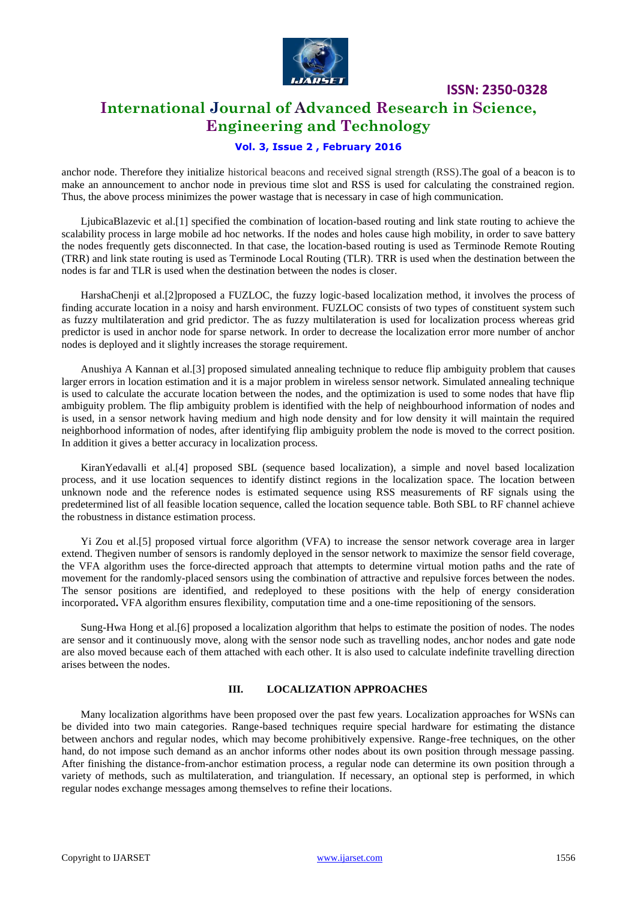

### **International Journal of Advanced Research in Science, Engineering and Technology**

### **Vol. 3, Issue 2 , February 2016**

anchor node. Therefore they initialize historical beacons and received signal strength (RSS).The goal of a beacon is to make an announcement to anchor node in previous time slot and RSS is used for calculating the constrained region. Thus, the above process minimizes the power wastage that is necessary in case of high communication.

LjubicaBlazevic et al.[1] specified the combination of location-based routing and link state routing to achieve the scalability process in large mobile ad hoc networks. If the nodes and holes cause high mobility, in order to save battery the nodes frequently gets disconnected. In that case, the location-based routing is used as Terminode Remote Routing (TRR) and link state routing is used as Terminode Local Routing (TLR). TRR is used when the destination between the nodes is far and TLR is used when the destination between the nodes is closer.

HarshaChenji et al.[2]proposed a FUZLOC, the fuzzy logic-based localization method, it involves the process of finding accurate location in a noisy and harsh environment. FUZLOC consists of two types of constituent system such as fuzzy multilateration and grid predictor. The as fuzzy multilateration is used for localization process whereas grid predictor is used in anchor node for sparse network. In order to decrease the localization error more number of anchor nodes is deployed and it slightly increases the storage requirement.

Anushiya A Kannan et al.[3] proposed simulated annealing technique to reduce flip ambiguity problem that causes larger errors in location estimation and it is a major problem in wireless sensor network. Simulated annealing technique is used to calculate the accurate location between the nodes, and the optimization is used to some nodes that have flip ambiguity problem. The flip ambiguity problem is identified with the help of neighbourhood information of nodes and is used, in a sensor network having medium and high node density and for low density it will maintain the required neighborhood information of nodes, after identifying flip ambiguity problem the node is moved to the correct position. In addition it gives a better accuracy in localization process.

KiranYedavalli et al.[4] proposed SBL (sequence based localization), a simple and novel based localization process, and it use location sequences to identify distinct regions in the localization space. The location between unknown node and the reference nodes is estimated sequence using RSS measurements of RF signals using the predetermined list of all feasible location sequence, called the location sequence table. Both SBL to RF channel achieve the robustness in distance estimation process.

Yi Zou et al.[5] proposed virtual force algorithm (VFA) to increase the sensor network coverage area in larger extend. Thegiven number of sensors is randomly deployed in the sensor network to maximize the sensor field coverage, the VFA algorithm uses the force-directed approach that attempts to determine virtual motion paths and the rate of movement for the randomly-placed sensors using the combination of attractive and repulsive forces between the nodes. The sensor positions are identified, and redeployed to these positions with the help of energy consideration incorporated**.** VFA algorithm ensures flexibility, computation time and a one-time repositioning of the sensors.

Sung-Hwa Hong et al.[6] proposed a localization algorithm that helps to estimate the position of nodes. The nodes are sensor and it continuously move, along with the sensor node such as travelling nodes, anchor nodes and gate node are also moved because each of them attached with each other. It is also used to calculate indefinite travelling direction arises between the nodes.

#### **III. LOCALIZATION APPROACHES**

Many localization algorithms have been proposed over the past few years. Localization approaches for WSNs can be divided into two main categories. Range-based techniques require special hardware for estimating the distance between anchors and regular nodes, which may become prohibitively expensive. Range-free techniques, on the other hand, do not impose such demand as an anchor informs other nodes about its own position through message passing. After finishing the distance-from-anchor estimation process, a regular node can determine its own position through a variety of methods, such as multilateration, and triangulation. If necessary, an optional step is performed, in which regular nodes exchange messages among themselves to refine their locations.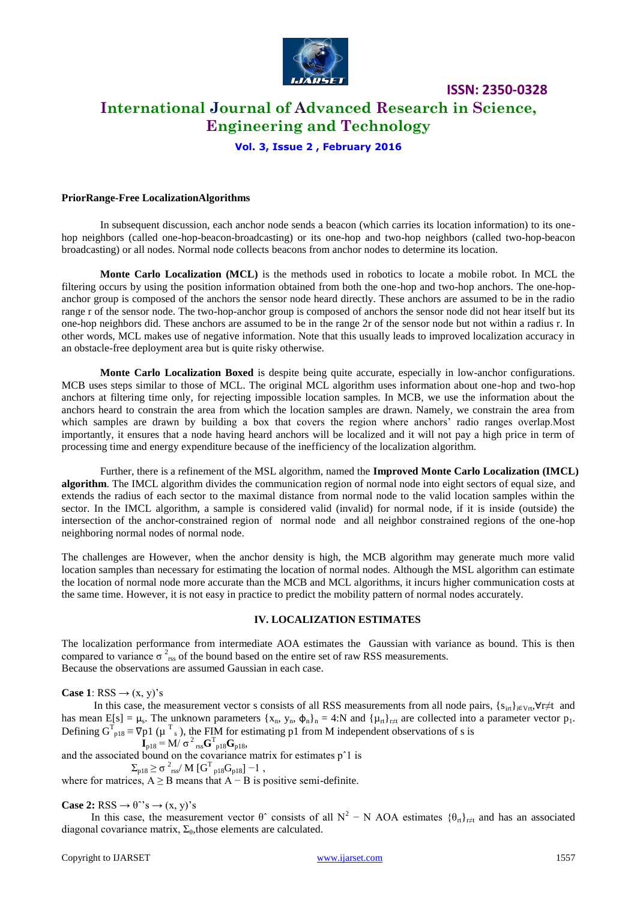

# **International Journal of Advanced Research in Science, Engineering and Technology**

**ISSN: 2350-0328**

### **Vol. 3, Issue 2 , February 2016**

#### **PriorRange-Free LocalizationAlgorithms**

In subsequent discussion, each anchor node sends a beacon (which carries its location information) to its onehop neighbors (called one-hop-beacon-broadcasting) or its one-hop and two-hop neighbors (called two-hop-beacon broadcasting) or all nodes. Normal node collects beacons from anchor nodes to determine its location.

**Monte Carlo Localization (MCL)** is the methods used in robotics to locate a mobile robot. In MCL the filtering occurs by using the position information obtained from both the one-hop and two-hop anchors. The one-hopanchor group is composed of the anchors the sensor node heard directly. These anchors are assumed to be in the radio range r of the sensor node. The two-hop-anchor group is composed of anchors the sensor node did not hear itself but its one-hop neighbors did. These anchors are assumed to be in the range 2r of the sensor node but not within a radius r. In other words, MCL makes use of negative information. Note that this usually leads to improved localization accuracy in an obstacle-free deployment area but is quite risky otherwise.

**Monte Carlo Localization Boxed** is despite being quite accurate, especially in low-anchor configurations. MCB uses steps similar to those of MCL. The original MCL algorithm uses information about one-hop and two-hop anchors at filtering time only, for rejecting impossible location samples. In MCB, we use the information about the anchors heard to constrain the area from which the location samples are drawn. Namely, we constrain the area from which samples are drawn by building a box that covers the region where anchors' radio ranges overlap.Most importantly, it ensures that a node having heard anchors will be localized and it will not pay a high price in term of processing time and energy expenditure because of the inefficiency of the localization algorithm.

Further, there is a refinement of the MSL algorithm, named the **Improved Monte Carlo Localization (IMCL) algorithm**. The IMCL algorithm divides the communication region of normal node into eight sectors of equal size, and extends the radius of each sector to the maximal distance from normal node to the valid location samples within the sector. In the IMCL algorithm, a sample is considered valid (invalid) for normal node, if it is inside (outside) the intersection of the anchor-constrained region of normal node and all neighbor constrained regions of the one-hop neighboring normal nodes of normal node.

The challenges are However, when the anchor density is high, the MCB algorithm may generate much more valid location samples than necessary for estimating the location of normal nodes. Although the MSL algorithm can estimate the location of normal node more accurate than the MCB and MCL algorithms, it incurs higher communication costs at the same time. However, it is not easy in practice to predict the mobility pattern of normal nodes accurately.

### **IV. LOCALIZATION ESTIMATES**

The localization performance from intermediate AOA estimates the Gaussian with variance as bound. This is then compared to variance  $\sigma^2_{\rm rss}$  of the bound based on the entire set of raw RSS measurements. Because the observations are assumed Gaussian in each case.

**Case 1**: RSS  $\rightarrow$  (x, y)'s

In this case, the measurement vector s consists of all RSS measurements from all node pairs,  $\{s_{irt}\}_{i\in Vrt}$ ,  $\forall r \neq t$  and has mean  $E[s] = \mu_s$ . The unknown parameters  $\{x_n, y_n, \phi_n\}_n = 4:N$  and  $\{\mu_{rt}\}_{r \neq t}$  are collected into a parameter vector  $p_1$ . Defining  $G_{p18}^T \equiv \nabla p1$  ( $\mu \int_s^T$ ), the FIM for estimating p1 from M independent observations of s is

$$
\mathbf{I}_{p18} = \mathbf{M} / \sigma^2_{\text{rss}} \mathbf{G}_{p18}^{\text{T}} \mathbf{G}_{p18},
$$

and the associated bound on the covariance matrix for estimates pˆ1 is

$$
\Sigma_{\rm p18}\,{\ge}\,\sigma\,^2_{\rm rss}/\,M\,\rm{[G}^T_{\rm p18}G_{\rm p18}]-1\,\,,
$$

where for matrices,  $A \geq B$  means that  $A - B$  is positive semi-definite.

**Case 2:** RSS  $\rightarrow \theta$ <sup>2</sup>s  $\rightarrow$  (x, y)<sup>2</sup>s

In this case, the measurement vector  $\theta^{\uparrow}$  consists of all N<sup>2</sup> – N AOA estimates  $\{\theta_{\text{rt}}\}_{\text{r}\neq\text{t}}$  and has an associated diagonal covariance matrix,  $\Sigma_{\theta}$ , those elements are calculated.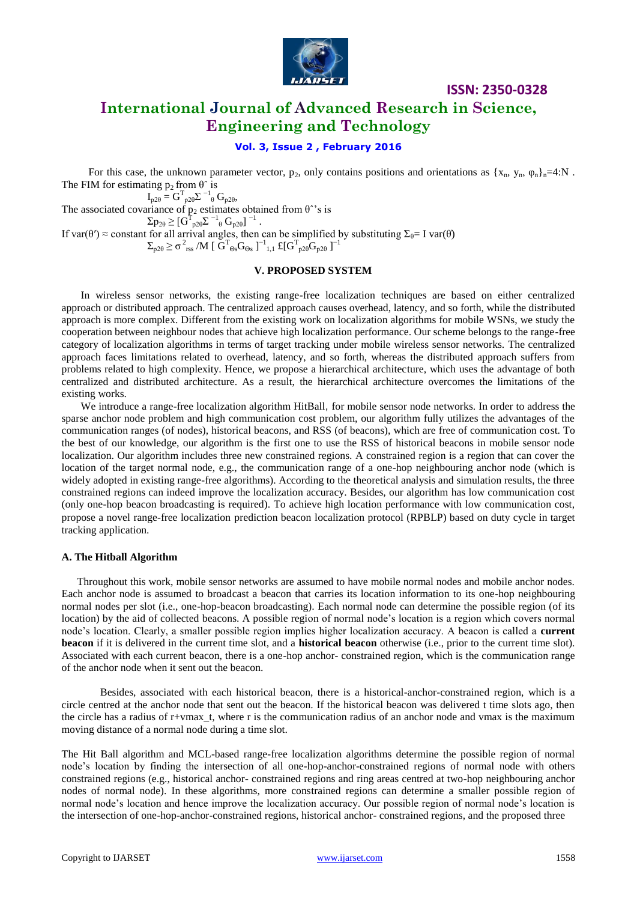

### **International Journal of Advanced Research in Science, Engineering and Technology**

### **Vol. 3, Issue 2 , February 2016**

For this case, the unknown parameter vector,  $p_2$ , only contains positions and orientations as  $\{x_n, y_n, \varphi_n\}_n=4:N$ . The FIM for estimating  $p_2$  from  $\theta^{\wedge}$  is

 $I_{p2\theta} = G^{T}_{p2\theta} \Sigma^{-1}{}_{\theta} G_{p2\theta}$ The associated covariance of  $p_2$  estimates obtained from  $\theta^*$ 's is  $\Sigma \mathrm{p}_{2\mathrm{\theta}} \geq [\mathrm{G}^{\mathrm{T}}_{\mathrm{p2\theta}} \Sigma^{-1}{}_\mathrm{\theta} \mathrm{~G}_{\mathrm{p2\theta}}]^{\mathrm{-1}} \ .$ If var( $\theta$ <sup>'</sup>)  $\approx$  constant for all arrival angles, then can be simplified by substituting  $\Sigma_{\theta} = I$  var( $\theta$ )  $\Sigma_{\rm p2\theta} \geq \sigma^2_{\rm~rss}$  /M [  ${\rm \bar{G}}^{\rm T}_{\rm~\Theta s} {\rm G}_{\Theta s}$  ] $^{-1}{}_{1,1}$  £[ ${\rm G}^{\rm T}_{\rm~p2\theta} {\rm G}_{\rm p2\theta}$  ] $^{-1}$ 

### **V. PROPOSED SYSTEM**

In wireless sensor networks, the existing range-free localization techniques are based on either centralized approach or distributed approach. The centralized approach causes overhead, latency, and so forth, while the distributed approach is more complex. Different from the existing work on localization algorithms for mobile WSNs, we study the cooperation between neighbour nodes that achieve high localization performance. Our scheme belongs to the range-free category of localization algorithms in terms of target tracking under mobile wireless sensor networks. The centralized approach faces limitations related to overhead, latency, and so forth, whereas the distributed approach suffers from problems related to high complexity. Hence, we propose a hierarchical architecture, which uses the advantage of both centralized and distributed architecture. As a result, the hierarchical architecture overcomes the limitations of the existing works.

We introduce a range-free localization algorithm HitBall, for mobile sensor node networks. In order to address the sparse anchor node problem and high communication cost problem, our algorithm fully utilizes the advantages of the communication ranges (of nodes), historical beacons, and RSS (of beacons), which are free of communication cost. To the best of our knowledge, our algorithm is the first one to use the RSS of historical beacons in mobile sensor node localization. Our algorithm includes three new constrained regions. A constrained region is a region that can cover the location of the target normal node, e.g., the communication range of a one-hop neighbouring anchor node (which is widely adopted in existing range-free algorithms). According to the theoretical analysis and simulation results, the three constrained regions can indeed improve the localization accuracy. Besides, our algorithm has low communication cost (only one-hop beacon broadcasting is required). To achieve high location performance with low communication cost, propose a novel range-free localization prediction beacon localization protocol (RPBLP) based on duty cycle in target tracking application.

#### **A. The Hitball Algorithm**

Throughout this work, mobile sensor networks are assumed to have mobile normal nodes and mobile anchor nodes. Each anchor node is assumed to broadcast a beacon that carries its location information to its one-hop neighbouring normal nodes per slot (i.e., one-hop-beacon broadcasting). Each normal node can determine the possible region (of its location) by the aid of collected beacons. A possible region of normal node's location is a region which covers normal node's location. Clearly, a smaller possible region implies higher localization accuracy. A beacon is called a **current beacon** if it is delivered in the current time slot, and a **historical beacon** otherwise (i.e., prior to the current time slot). Associated with each current beacon, there is a one-hop anchor- constrained region, which is the communication range of the anchor node when it sent out the beacon.

Besides, associated with each historical beacon, there is a historical-anchor-constrained region, which is a circle centred at the anchor node that sent out the beacon. If the historical beacon was delivered t time slots ago, then the circle has a radius of r+vmax\_t, where r is the communication radius of an anchor node and vmax is the maximum moving distance of a normal node during a time slot.

The Hit Ball algorithm and MCL-based range-free localization algorithms determine the possible region of normal node's location by finding the intersection of all one-hop-anchor-constrained regions of normal node with others constrained regions (e.g., historical anchor- constrained regions and ring areas centred at two-hop neighbouring anchor nodes of normal node). In these algorithms, more constrained regions can determine a smaller possible region of normal node's location and hence improve the localization accuracy. Our possible region of normal node's location is the intersection of one-hop-anchor-constrained regions, historical anchor- constrained regions, and the proposed three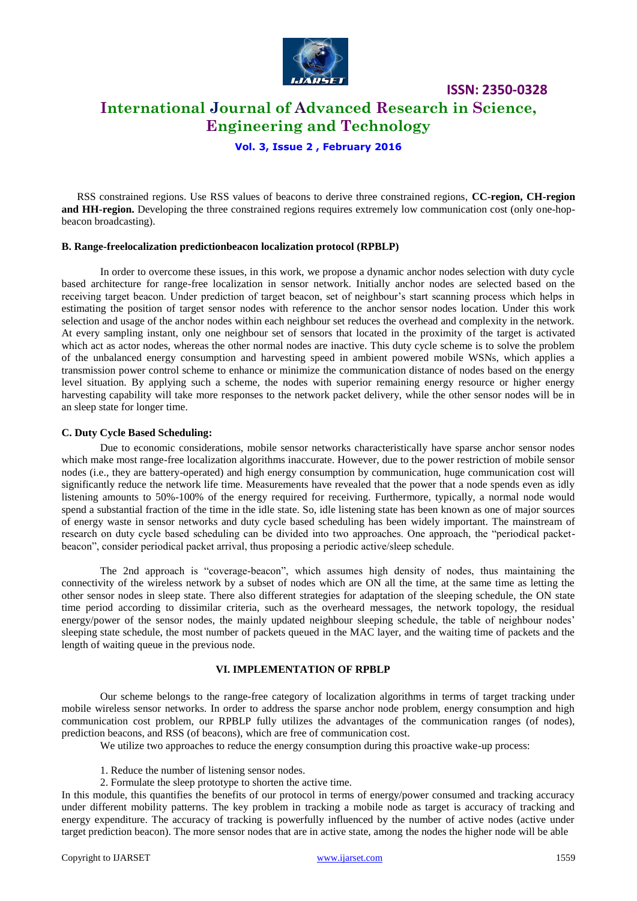

### **International Journal of Advanced Research in Science, Engineering and Technology**

**Vol. 3, Issue 2 , February 2016**

RSS constrained regions. Use RSS values of beacons to derive three constrained regions, **CC-region, CH-region and HH-region.** Developing the three constrained regions requires extremely low communication cost (only one-hopbeacon broadcasting).

### **B. Range-freelocalization predictionbeacon localization protocol (RPBLP)**

In order to overcome these issues, in this work, we propose a dynamic anchor nodes selection with duty cycle based architecture for range-free localization in sensor network. Initially anchor nodes are selected based on the receiving target beacon. Under prediction of target beacon, set of neighbour's start scanning process which helps in estimating the position of target sensor nodes with reference to the anchor sensor nodes location. Under this work selection and usage of the anchor nodes within each neighbour set reduces the overhead and complexity in the network. At every sampling instant, only one neighbour set of sensors that located in the proximity of the target is activated which act as actor nodes, whereas the other normal nodes are inactive. This duty cycle scheme is to solve the problem of the unbalanced energy consumption and harvesting speed in ambient powered mobile WSNs, which applies a transmission power control scheme to enhance or minimize the communication distance of nodes based on the energy level situation. By applying such a scheme, the nodes with superior remaining energy resource or higher energy harvesting capability will take more responses to the network packet delivery, while the other sensor nodes will be in an sleep state for longer time.

### **C. Duty Cycle Based Scheduling:**

Due to economic considerations, mobile sensor networks characteristically have sparse anchor sensor nodes which make most range-free localization algorithms inaccurate. However, due to the power restriction of mobile sensor nodes (i.e., they are battery-operated) and high energy consumption by communication, huge communication cost will significantly reduce the network life time. Measurements have revealed that the power that a node spends even as idly listening amounts to 50%-100% of the energy required for receiving. Furthermore, typically, a normal node would spend a substantial fraction of the time in the idle state. So, idle listening state has been known as one of major sources of energy waste in sensor networks and duty cycle based scheduling has been widely important. The mainstream of research on duty cycle based scheduling can be divided into two approaches. One approach, the "periodical packetbeacon", consider periodical packet arrival, thus proposing a periodic active/sleep schedule.

The 2nd approach is "coverage-beacon", which assumes high density of nodes, thus maintaining the connectivity of the wireless network by a subset of nodes which are ON all the time, at the same time as letting the other sensor nodes in sleep state. There also different strategies for adaptation of the sleeping schedule, the ON state time period according to dissimilar criteria, such as the overheard messages, the network topology, the residual energy/power of the sensor nodes, the mainly updated neighbour sleeping schedule, the table of neighbour nodes' sleeping state schedule, the most number of packets queued in the MAC layer, and the waiting time of packets and the length of waiting queue in the previous node.

### **VI. IMPLEMENTATION OF RPBLP**

Our scheme belongs to the range-free category of localization algorithms in terms of target tracking under mobile wireless sensor networks. In order to address the sparse anchor node problem, energy consumption and high communication cost problem, our RPBLP fully utilizes the advantages of the communication ranges (of nodes), prediction beacons, and RSS (of beacons), which are free of communication cost.

We utilize two approaches to reduce the energy consumption during this proactive wake-up process:

- 1. Reduce the number of listening sensor nodes.
- 2. Formulate the sleep prototype to shorten the active time.

In this module, this quantifies the benefits of our protocol in terms of energy/power consumed and tracking accuracy under different mobility patterns. The key problem in tracking a mobile node as target is accuracy of tracking and energy expenditure. The accuracy of tracking is powerfully influenced by the number of active nodes (active under target prediction beacon). The more sensor nodes that are in active state, among the nodes the higher node will be able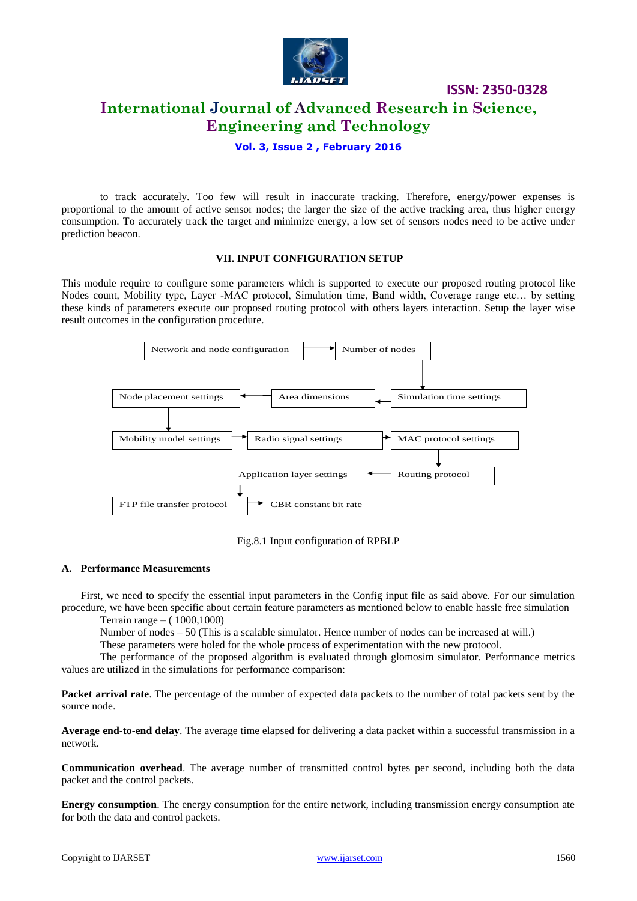

**International Journal of Advanced Research in Science, Engineering and Technology**

**ISSN: 2350-0328**

**Vol. 3, Issue 2 , February 2016**

to track accurately. Too few will result in inaccurate tracking. Therefore, energy/power expenses is proportional to the amount of active sensor nodes; the larger the size of the active tracking area, thus higher energy consumption. To accurately track the target and minimize energy, a low set of sensors nodes need to be active under prediction beacon.

### **VII. INPUT CONFIGURATION SETUP**

This module require to configure some parameters which is supported to execute our proposed routing protocol like Nodes count, Mobility type, Layer -MAC protocol, Simulation time, Band width, Coverage range etc… by setting these kinds of parameters execute our proposed routing protocol with others layers interaction. Setup the layer wise result outcomes in the configuration procedure.



Fig.8.1 Input configuration of RPBLP

### **A. Performance Measurements**

First, we need to specify the essential input parameters in the Config input file as said above. For our simulation procedure, we have been specific about certain feature parameters as mentioned below to enable hassle free simulation

Terrain range – ( 1000,1000)

Number of nodes – 50 (This is a scalable simulator. Hence number of nodes can be increased at will.)

These parameters were holed for the whole process of experimentation with the new protocol.

The performance of the proposed algorithm is evaluated through glomosim simulator. Performance metrics values are utilized in the simulations for performance comparison:

**Packet arrival rate**. The percentage of the number of expected data packets to the number of total packets sent by the source node.

**Average end-to-end delay**. The average time elapsed for delivering a data packet within a successful transmission in a network.

**Communication overhead**. The average number of transmitted control bytes per second, including both the data packet and the control packets.

**Energy consumption**. The energy consumption for the entire network, including transmission energy consumption ate for both the data and control packets.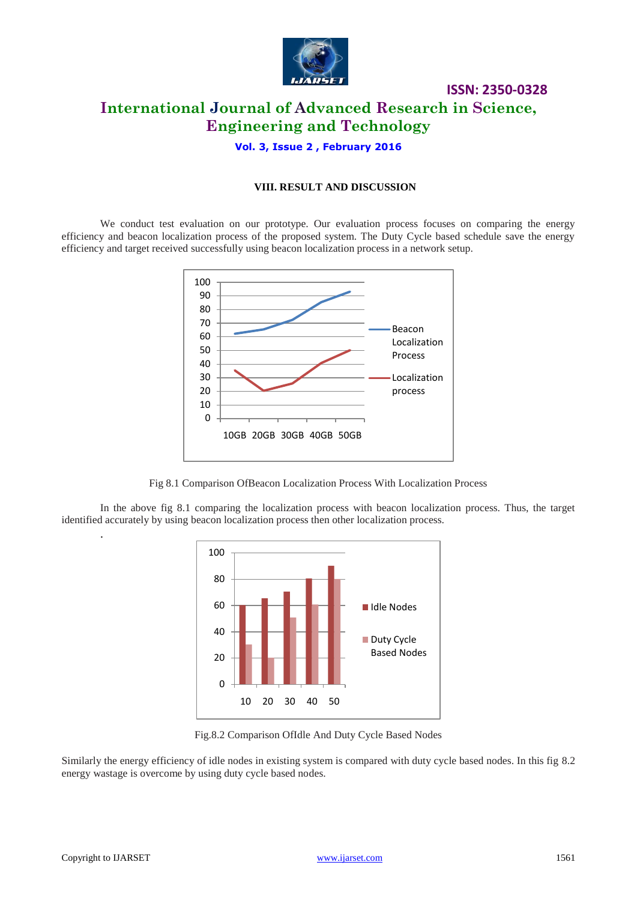

## **ISSN: 2350-0328 International Journal of Advanced Research in Science, Engineering and Technology**

**Vol. 3, Issue 2 , February 2016**

### **VIII. RESULT AND DISCUSSION**

We conduct test evaluation on our prototype. Our evaluation process focuses on comparing the energy efficiency and beacon localization process of the proposed system. The Duty Cycle based schedule save the energy efficiency and target received successfully using beacon localization process in a network setup.



Fig 8.1 Comparison OfBeacon Localization Process With Localization Process

In the above fig 8.1 comparing the localization process with beacon localization process. Thus, the target identified accurately by using beacon localization process then other localization process.



Fig.8.2 Comparison OfIdle And Duty Cycle Based Nodes

Similarly the energy efficiency of idle nodes in existing system is compared with duty cycle based nodes. In this fig 8.2 energy wastage is overcome by using duty cycle based nodes.

.